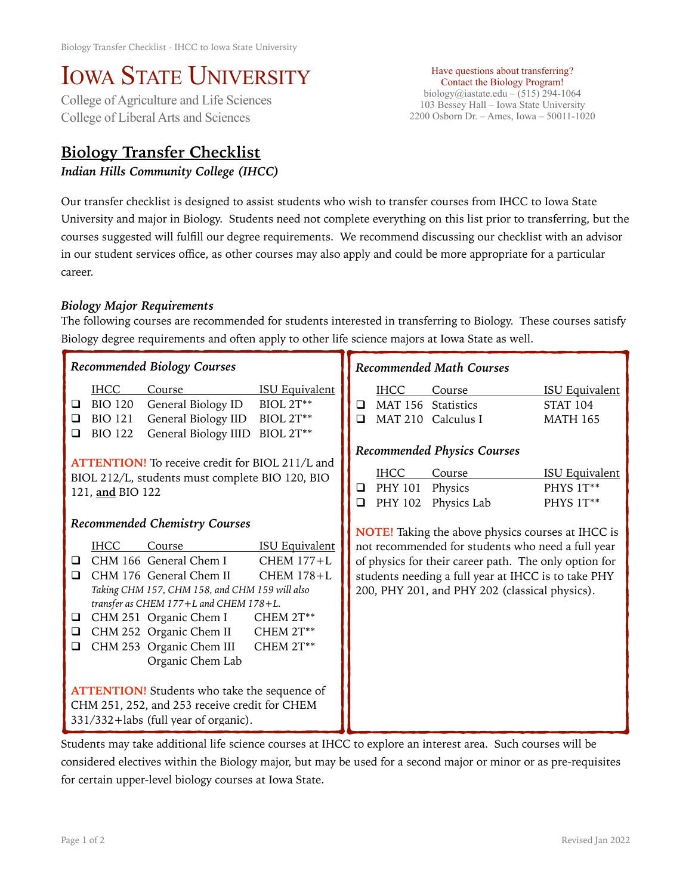## IOWA STATE UNIVERSITY<br>College of Agriculture and Life Sciences

College of Liberal Arts and Sciences

## **Biology Transfer Checklist**

*Indian Hills Community College (IHCC)* 

Have questions about transferring? Contact the Biology Program! biology@iastate.edu – (515) 294-1064 103 Bessey Hall – Iowa State University 2200 Osborn Dr. – Ames, Iowa – 50011-1020

Our transfer checklist is designed to assist students who wish to transfer courses from IHCC to Iowa State University and major in Biology. Students need not complete everything on this list prior to transferring, but the courses suggested will fulfill our degree requirements. We recommend discussing our checklist with an advisor in our student services office, as other courses may also apply and could be more appropriate for a particular career.

## *Biology Major Requirements*

The following courses are recommended for students interested in transferring to Biology. These courses satisfy Biology degree requirements and often apply to other life science majors at Iowa State as well.

| <b>Recommended Biology Courses</b>                                                                                                                                                                                                                                                                                                                                                                                                                                                                                                                                                                                   | <b>Recommended Math Courses</b>                                                                                                                                                                                                                                                 |  |  |  |  |
|----------------------------------------------------------------------------------------------------------------------------------------------------------------------------------------------------------------------------------------------------------------------------------------------------------------------------------------------------------------------------------------------------------------------------------------------------------------------------------------------------------------------------------------------------------------------------------------------------------------------|---------------------------------------------------------------------------------------------------------------------------------------------------------------------------------------------------------------------------------------------------------------------------------|--|--|--|--|
| <b>IHCC</b><br><b>ISU Equivalent</b><br>Course<br>BIOL 2T**<br><b>BIO 120</b><br>General Biology ID<br>❏<br><b>BIO 121</b><br>General Biology IID<br>$BIOL 2T***$<br>$\Box$<br>BIOL 2T**<br>General Biology IIID<br><b>BIO 122</b><br>❏                                                                                                                                                                                                                                                                                                                                                                              | <b>IHCC</b><br>Course<br><b>ISU Equivalent</b><br>MAT 156 Statistics<br><b>STAT 104</b><br>□<br>MAT 210 Calculus I<br>$\Box$<br><b>MATH 165</b>                                                                                                                                 |  |  |  |  |
| <b>ATTENTION!</b> To receive credit for BIOL 211/L and<br>BIOL 212/L, students must complete BIO 120, BIO<br>121, and BIO 122                                                                                                                                                                                                                                                                                                                                                                                                                                                                                        | <b>Recommended Physics Courses</b><br><b>IHCC</b><br>Course<br><b>ISU Equivalent</b><br>PHYS 1T**<br>PHY 101<br>Physics<br>❏<br>PHY 102<br>Physics Lab<br>PHYS 1T**<br>□                                                                                                        |  |  |  |  |
| <b>Recommended Chemistry Courses</b><br><b>ISU Equivalent</b><br><b>IHCC</b><br>Course<br>CHM 166 General Chem I<br>$CHEM 177+L$<br>❏<br>CHM 176 General Chem II<br><b>CHEM 178+L</b><br>$\Box$<br>Taking CHM 157, CHM 158, and CHM 159 will also<br>transfer as CHEM 177+L and CHEM 178+L.<br>CHM 251 Organic Chem I<br>CHEM 2T**<br>□<br>CHM 252 Organic Chem II<br>CHEM 2T**<br>$\Box$<br>CHM 253 Organic Chem III<br>CHEM 2T**<br>$\Box$<br>Organic Chem Lab<br><b>ATTENTION!</b> Students who take the sequence of<br>CHM 251, 252, and 253 receive credit for CHEM<br>$331/332 +$ labs (full year of organic). | <b>NOTE!</b> Taking the above physics courses at IHCC is<br>not recommended for students who need a full year<br>of physics for their career path. The only option for<br>students needing a full year at IHCC is to take PHY<br>200, PHY 201, and PHY 202 (classical physics). |  |  |  |  |

Students may take additional life science courses at IHCC to explore an interest area. Such courses will be considered electives within the Biology major, but may be used for a second major or minor or as pre-requisites for certain upper-level biology courses at Iowa State.